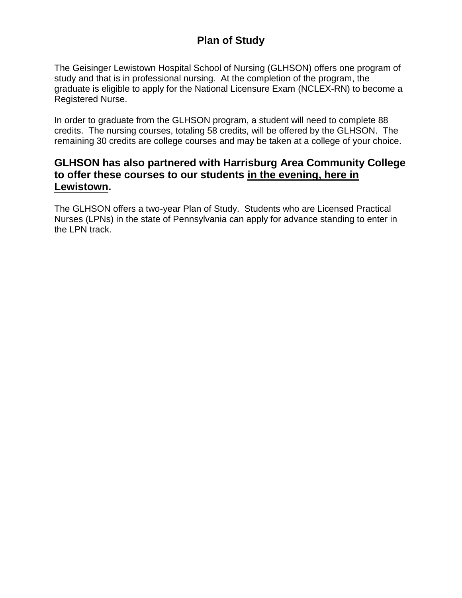# **Plan of Study**

The Geisinger Lewistown Hospital School of Nursing (GLHSON) offers one program of study and that is in professional nursing. At the completion of the program, the graduate is eligible to apply for the National Licensure Exam (NCLEX-RN) to become a Registered Nurse.

In order to graduate from the GLHSON program, a student will need to complete 88 credits. The nursing courses, totaling 58 credits, will be offered by the GLHSON. The remaining 30 credits are college courses and may be taken at a college of your choice.

## **GLHSON has also partnered with Harrisburg Area Community College to offer these courses to our students in the evening, here in Lewistown.**

The GLHSON offers a two-year Plan of Study. Students who are Licensed Practical Nurses (LPNs) in the state of Pennsylvania can apply for advance standing to enter in the LPN track.